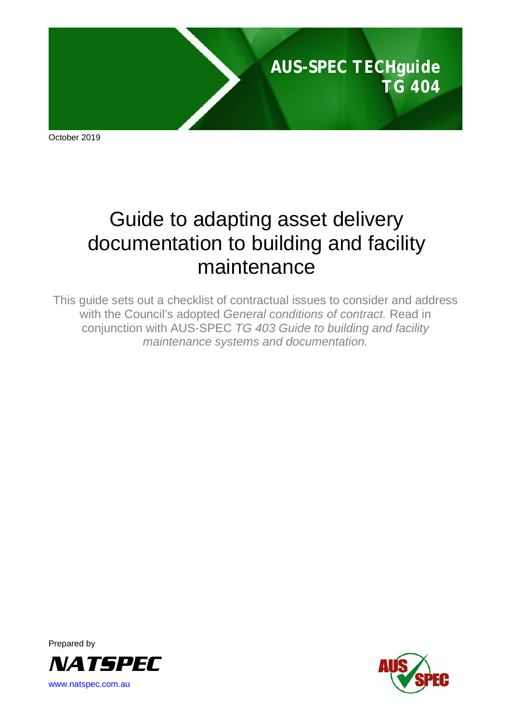

October 2019

# Guide to adapting asset delivery documentation to building and facility maintenance

This guide sets out a checklist of contractual issues to consider and address with the Council's adopted *General conditions of contract.* Read in conjunction with AUS-SPEC *TG 403 Guide to building and facility maintenance systems and documentation.*



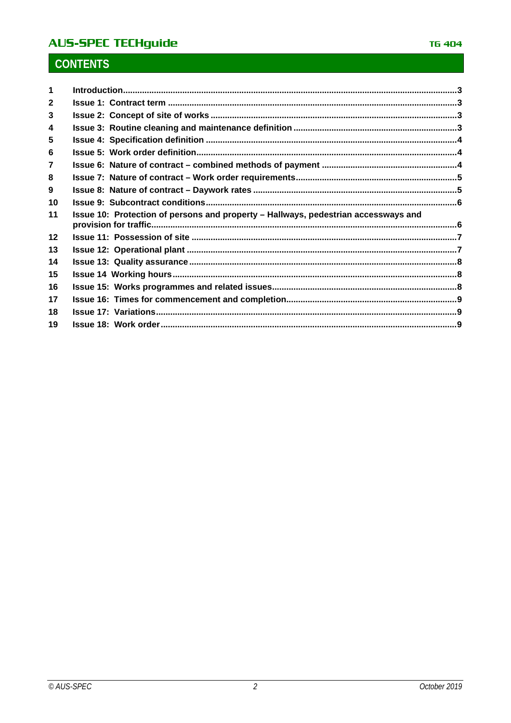# **AUS-SPEC TECHguide**

# **CONTENTS**

| $\mathbf{2}$ |                                                                                    |  |
|--------------|------------------------------------------------------------------------------------|--|
| 3            |                                                                                    |  |
| 4            |                                                                                    |  |
| 5            |                                                                                    |  |
| 6            |                                                                                    |  |
| 7            |                                                                                    |  |
| 8            |                                                                                    |  |
| 9            |                                                                                    |  |
| 10           |                                                                                    |  |
| 11           | Issue 10: Protection of persons and property - Hallways, pedestrian accessways and |  |
| 12           |                                                                                    |  |
| 13           |                                                                                    |  |
| 14           |                                                                                    |  |
| 15           |                                                                                    |  |
| 16           |                                                                                    |  |
| 17           |                                                                                    |  |
| 18           |                                                                                    |  |
| 19           |                                                                                    |  |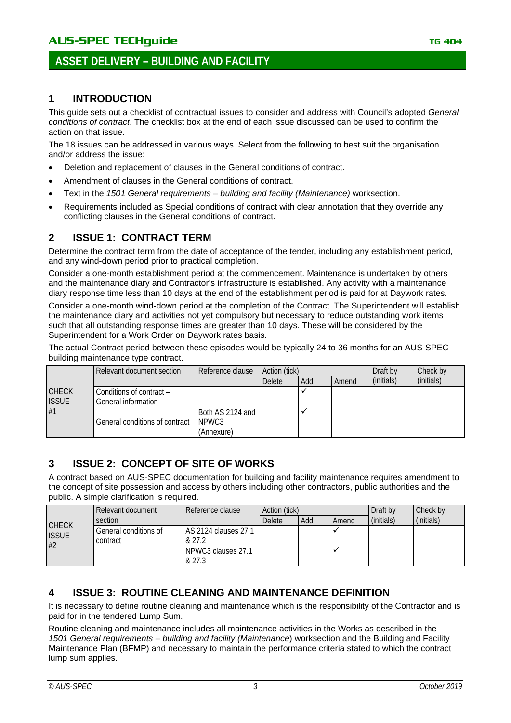# **ASSET DELIVERY – BUILDING AND FACILITY**

#### <span id="page-2-0"></span>**1 INTRODUCTION**

This guide sets out a checklist of contractual issues to consider and address with Council's adopted *General conditions of contract*. The checklist box at the end of each issue discussed can be used to confirm the action on that issue.

The 18 issues can be addressed in various ways. Select from the following to best suit the organisation and/or address the issue:

- Deletion and replacement of clauses in the General conditions of contract.
- Amendment of clauses in the General conditions of contract.
- Text in the *1501 General requirements – building and facility (Maintenance)* worksection.
- Requirements included as Special conditions of contract with clear annotation that they override any conflicting clauses in the General conditions of contract.

#### <span id="page-2-1"></span>**2 ISSUE 1: CONTRACT TERM**

Determine the contract term from the date of acceptance of the tender, including any establishment period, and any wind-down period prior to practical completion.

Consider a one-month establishment period at the commencement. Maintenance is undertaken by others and the maintenance diary and Contractor's infrastructure is established. Any activity with a maintenance diary response time less than 10 days at the end of the establishment period is paid for at Daywork rates.

Consider a one-month wind-down period at the completion of the Contract. The Superintendent will establish the maintenance diary and activities not yet compulsory but necessary to reduce outstanding work items such that all outstanding response times are greater than 10 days. These will be considered by the Superintendent for a Work Order on Daywork rates basis.

The actual Contract period between these episodes would be typically 24 to 36 months for an AUS-SPEC building maintenance type contract.

|                    | Action (tick)<br>Reference clause<br>Relevant document section |                           |               |     | Draft by | Check by   |            |
|--------------------|----------------------------------------------------------------|---------------------------|---------------|-----|----------|------------|------------|
|                    |                                                                |                           | <b>Delete</b> | Add | Amend    | (initials) | (initials) |
| <b>CHECK</b>       | Conditions of contract –                                       |                           |               |     |          |            |            |
| <b>ISSUE</b><br>#1 | General information                                            |                           |               |     |          |            |            |
|                    | General conditions of contract                                 | Both AS 2124 and<br>NPWC3 |               |     |          |            |            |
|                    |                                                                | (Annexure)                |               |     |          |            |            |

#### <span id="page-2-2"></span>**3 ISSUE 2: CONCEPT OF SITE OF WORKS**

A contract based on AUS-SPEC documentation for building and facility maintenance requires amendment to the concept of site possession and access by others including other contractors, public authorities and the public. A simple clarification is required.

|                                    | Relevant document                 | Reference clause                                                        | Action (tick) |     |       | Draft by   | Check by   |
|------------------------------------|-----------------------------------|-------------------------------------------------------------------------|---------------|-----|-------|------------|------------|
|                                    | section                           |                                                                         | Delete        | Add | Amend | (initials) | (initials) |
| <b>CHECK</b><br><b>ISSUE</b><br>#2 | General conditions of<br>contract | <b>AS 2124 clauses 27.1</b><br>& 27.2<br>l NPWC3 clauses 27.1<br>& 27.3 |               |     |       |            |            |

#### <span id="page-2-3"></span>**4 ISSUE 3: ROUTINE CLEANING AND MAINTENANCE DEFINITION**

It is necessary to define routine cleaning and maintenance which is the responsibility of the Contractor and is paid for in the tendered Lump Sum.

Routine cleaning and maintenance includes all maintenance activities in the Works as described in the *1501 General requirements – building and facility (Maintenance*) worksection and the Building and Facility Maintenance Plan (BFMP) and necessary to maintain the performance criteria stated to which the contract lump sum applies.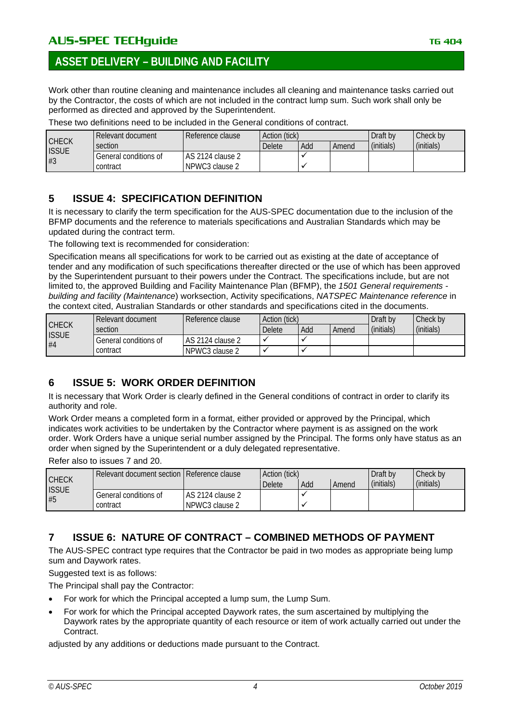# **ASSET DELIVERY – BUILDING AND FACILITY**

Work other than routine cleaning and maintenance includes all cleaning and maintenance tasks carried out by the Contractor, the costs of which are not included in the contract lump sum. Such work shall only be performed as directed and approved by the Superintendent.

|                    | Relevant document     | Reference clause | Action (tick) |     |       | Draft by   | Check by   |
|--------------------|-----------------------|------------------|---------------|-----|-------|------------|------------|
| <b>CHECK</b>       | section               |                  | <b>Delete</b> | Add | Amend | (initials) | (initials) |
| <b>ISSUE</b><br>#3 | General conditions of | AS 2124 clause 2 |               |     |       |            |            |
|                    | contract              | NPWC3 clause 2   |               |     |       |            |            |

These two definitions need to be included in the General conditions of contract.

#### <span id="page-3-0"></span>**5 ISSUE 4: SPECIFICATION DEFINITION**

It is necessary to clarify the term specification for the AUS-SPEC documentation due to the inclusion of the BFMP documents and the reference to materials specifications and Australian Standards which may be updated during the contract term.

The following text is recommended for consideration:

Specification means all specifications for work to be carried out as existing at the date of acceptance of tender and any modification of such specifications thereafter directed or the use of which has been approved by the Superintendent pursuant to their powers under the Contract. The specifications include, but are not limited to, the approved Building and Facility Maintenance Plan (BFMP), the *1501 General requirements building and facility (Maintenance*) worksection, Activity specifications, *NATSPEC Maintenance reference* in the context cited, Australian Standards or other standards and specifications cited in the documents.

|                    | Relevant document     | Reference clause | Action (tick) |     |       | Draft by   | Check by   |
|--------------------|-----------------------|------------------|---------------|-----|-------|------------|------------|
| <b>CHECK</b>       | section               |                  | <b>Delete</b> | Add | Amend | (initials) | (initials) |
| <b>ISSUE</b><br>#4 | General conditions of | AS 2124 clause 2 |               |     |       |            |            |
|                    | contract              | NPWC3 clause 2   |               |     |       |            |            |

#### <span id="page-3-1"></span>**6 ISSUE 5: WORK ORDER DEFINITION**

It is necessary that Work Order is clearly defined in the General conditions of contract in order to clarify its authority and role.

Work Order means a completed form in a format, either provided or approved by the Principal, which indicates work activities to be undertaken by the Contractor where payment is as assigned on the work order. Work Orders have a unique serial number assigned by the Principal. The forms only have status as an order when signed by the Superintendent or a duly delegated representative.

Refer also to issues 7 and 20.

|                    | Relevant document section   Reference clause |                  | Action (tick) |     |       | Draft by   | Check by   |
|--------------------|----------------------------------------------|------------------|---------------|-----|-------|------------|------------|
| <b>CHECK</b>       |                                              |                  | Delete        | Add | Amend | (initials) | (initials) |
| <b>ISSUE</b><br>#5 | General conditions of                        | AS 2124 clause 2 |               |     |       |            |            |
|                    | contract                                     | NPWC3 clause 2   |               |     |       |            |            |

#### <span id="page-3-2"></span>**7 ISSUE 6: NATURE OF CONTRACT – COMBINED METHODS OF PAYMENT**

The AUS-SPEC contract type requires that the Contractor be paid in two modes as appropriate being lump sum and Daywork rates.

Suggested text is as follows:

The Principal shall pay the Contractor:

- For work for which the Principal accepted a lump sum, the Lump Sum.
- For work for which the Principal accepted Daywork rates, the sum ascertained by multiplying the Daywork rates by the appropriate quantity of each resource or item of work actually carried out under the Contract.

adjusted by any additions or deductions made pursuant to the Contract.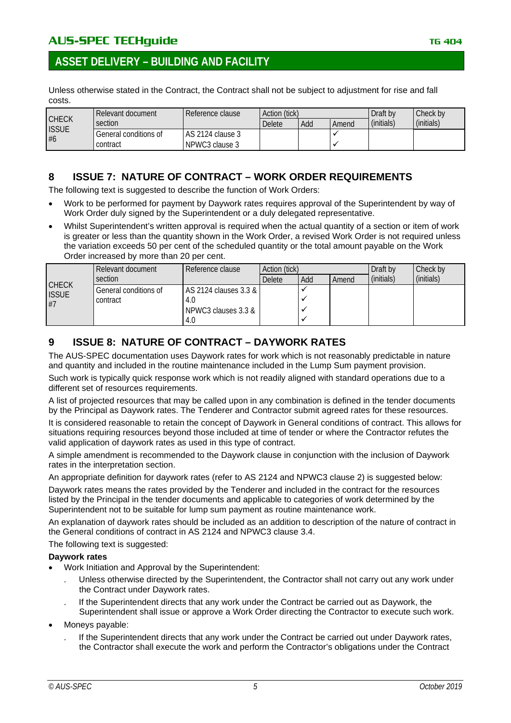## **ASSET DELIVERY – BUILDING AND FACILITY**

Unless otherwise stated in the Contract, the Contract shall not be subject to adjustment for rise and fall costs.

|                    | Relevant document     | l Reference clause | Action (tick) |     |       | Draft by   | Check by   |
|--------------------|-----------------------|--------------------|---------------|-----|-------|------------|------------|
| <b>CHECK</b>       | section               |                    | Delete        | Add | Amend | (initials) | (initials) |
| <b>ISSUE</b><br>#6 | General conditions of | LAS 2124 clause 3  |               |     |       |            |            |
|                    | contract              | NPWC3 clause 3     |               |     |       |            |            |

#### <span id="page-4-0"></span>**8 ISSUE 7: NATURE OF CONTRACT – WORK ORDER REQUIREMENTS**

The following text is suggested to describe the function of Work Orders:

- Work to be performed for payment by Daywork rates requires approval of the Superintendent by way of Work Order duly signed by the Superintendent or a duly delegated representative.
- Whilst Superintendent's written approval is required when the actual quantity of a section or item of work is greater or less than the quantity shown in the Work Order, a revised Work Order is not required unless the variation exceeds 50 per cent of the scheduled quantity or the total amount payable on the Work Order increased by more than 20 per cent.

|              | Relevant document     | Reference clause      | Action (tick) |     |       | Draft by   | Check by   |
|--------------|-----------------------|-----------------------|---------------|-----|-------|------------|------------|
| <b>CHECK</b> | section               |                       | Delete        | Add | Amend | (initials) | (initials) |
| <b>ISSUE</b> | General conditions of | AS 2124 clauses 3.3 & |               |     |       |            |            |
| #7           | contract              | 4.0                   |               |     |       |            |            |
|              |                       | NPWC3 clauses 3.3 &   |               |     |       |            |            |
|              |                       | 4.0                   |               |     |       |            |            |

#### <span id="page-4-1"></span>**9 ISSUE 8: NATURE OF CONTRACT – DAYWORK RATES**

The AUS-SPEC documentation uses Daywork rates for work which is not reasonably predictable in nature and quantity and included in the routine maintenance included in the Lump Sum payment provision. Such work is typically quick response work which is not readily aligned with standard operations due to a different set of resources requirements.

A list of projected resources that may be called upon in any combination is defined in the tender documents by the Principal as Daywork rates. The Tenderer and Contractor submit agreed rates for these resources.

It is considered reasonable to retain the concept of Daywork in General conditions of contract. This allows for situations requiring resources beyond those included at time of tender or where the Contractor refutes the valid application of daywork rates as used in this type of contract.

A simple amendment is recommended to the Daywork clause in conjunction with the inclusion of Daywork rates in the interpretation section.

An appropriate definition for daywork rates (refer to AS 2124 and NPWC3 clause 2) is suggested below:

Daywork rates means the rates provided by the Tenderer and included in the contract for the resources listed by the Principal in the tender documents and applicable to categories of work determined by the Superintendent not to be suitable for lump sum payment as routine maintenance work.

An explanation of daywork rates should be included as an addition to description of the nature of contract in the General conditions of contract in AS 2124 and NPWC3 clause 3.4.

The following text is suggested:

#### **Daywork rates**

- Work Initiation and Approval by the Superintendent:
	- . Unless otherwise directed by the Superintendent, the Contractor shall not carry out any work under the Contract under Daywork rates.
	- . If the Superintendent directs that any work under the Contract be carried out as Daywork, the Superintendent shall issue or approve a Work Order directing the Contractor to execute such work.
- Moneys payable:
	- . If the Superintendent directs that any work under the Contract be carried out under Daywork rates, the Contractor shall execute the work and perform the Contractor's obligations under the Contract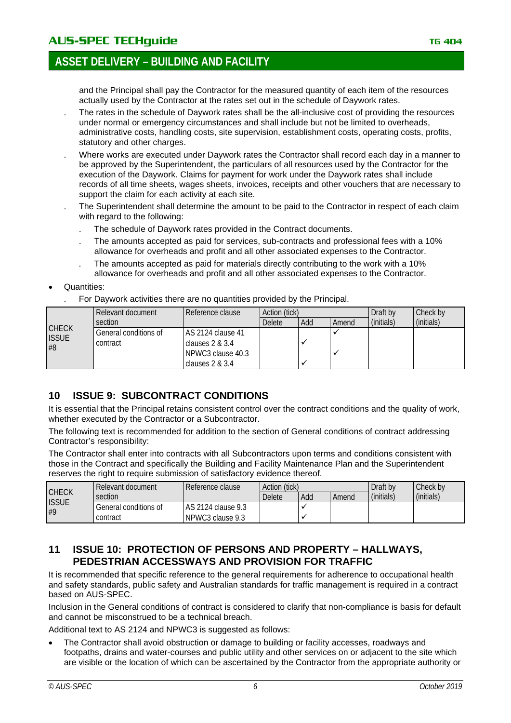## **ASSET DELIVERY – BUILDING AND FACILITY**

and the Principal shall pay the Contractor for the measured quantity of each item of the resources actually used by the Contractor at the rates set out in the schedule of Daywork rates.

- . The rates in the schedule of Daywork rates shall be the all-inclusive cost of providing the resources under normal or emergency circumstances and shall include but not be limited to overheads, administrative costs, handling costs, site supervision, establishment costs, operating costs, profits, statutory and other charges.
- . Where works are executed under Daywork rates the Contractor shall record each day in a manner to be approved by the Superintendent, the particulars of all resources used by the Contractor for the execution of the Daywork. Claims for payment for work under the Daywork rates shall include records of all time sheets, wages sheets, invoices, receipts and other vouchers that are necessary to support the claim for each activity at each site.
- . The Superintendent shall determine the amount to be paid to the Contractor in respect of each claim with regard to the following:
	- . The schedule of Daywork rates provided in the Contract documents.
	- . The amounts accepted as paid for services, sub-contracts and professional fees with a 10% allowance for overheads and profit and all other associated expenses to the Contractor.
	- . The amounts accepted as paid for materials directly contributing to the work with a 10% allowance for overheads and profit and all other associated expenses to the Contractor.
- Quantities:
	- . For Daywork activities there are no quantities provided by the Principal.

|                              | Relevant document     | Reference clause  |               | Action (tick) |       |            | Check by   |
|------------------------------|-----------------------|-------------------|---------------|---------------|-------|------------|------------|
|                              | section               |                   | <b>Delete</b> | Add           | Amend | (initials) | (initials) |
| <b>CHECK</b><br><b>ISSUE</b> | General conditions of | AS 2124 clause 41 |               |               |       |            |            |
| #8                           | contract              | clauses $2 & 3.4$ |               |               |       |            |            |
|                              |                       | NPWC3 clause 40.3 |               |               |       |            |            |
|                              |                       | clauses $2 & 3.4$ |               |               |       |            |            |

#### <span id="page-5-0"></span>**10 ISSUE 9: SUBCONTRACT CONDITIONS**

It is essential that the Principal retains consistent control over the contract conditions and the quality of work, whether executed by the Contractor or a Subcontractor.

The following text is recommended for addition to the section of General conditions of contract addressing Contractor's responsibility:

The Contractor shall enter into contracts with all Subcontractors upon terms and conditions consistent with those in the Contract and specifically the Building and Facility Maintenance Plan and the Superintendent reserves the right to require submission of satisfactory evidence thereof.

|                    | Relevant document     | Reference clause    | Action (tick) |     |       | Draft by   | Check by   |
|--------------------|-----------------------|---------------------|---------------|-----|-------|------------|------------|
| <b>CHECK</b>       | section               |                     | <b>Delete</b> | Add | Amend | (initials) | (initials) |
| <b>ISSUE</b><br>#9 | General conditions of | LAS 2124 clause 9.3 |               |     |       |            |            |
|                    | contract              | NPWC3 clause 9.3    |               |     |       |            |            |

#### <span id="page-5-1"></span>**11 ISSUE 10: PROTECTION OF PERSONS AND PROPERTY – HALLWAYS, PEDESTRIAN ACCESSWAYS AND PROVISION FOR TRAFFIC**

It is recommended that specific reference to the general requirements for adherence to occupational health and safety standards, public safety and Australian standards for traffic management is required in a contract based on AUS-SPEC.

Inclusion in the General conditions of contract is considered to clarify that non-compliance is basis for default and cannot be misconstrued to be a technical breach.

Additional text to AS 2124 and NPWC3 is suggested as follows:

• The Contractor shall avoid obstruction or damage to building or facility accesses, roadways and footpaths, drains and water-courses and public utility and other services on or adjacent to the site which are visible or the location of which can be ascertained by the Contractor from the appropriate authority or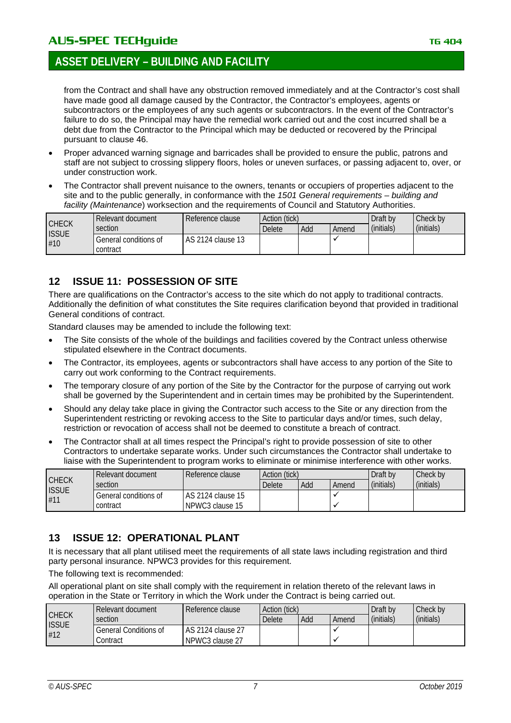from the Contract and shall have any obstruction removed immediately and at the Contractor's cost shall have made good all damage caused by the Contractor, the Contractor's employees, agents or subcontractors or the employees of any such agents or subcontractors. In the event of the Contractor's failure to do so, the Principal may have the remedial work carried out and the cost incurred shall be a debt due from the Contractor to the Principal which may be deducted or recovered by the Principal pursuant to clause 46.

- Proper advanced warning signage and barricades shall be provided to ensure the public, patrons and staff are not subject to crossing slippery floors, holes or uneven surfaces, or passing adjacent to, over, or under construction work.
- The Contractor shall prevent nuisance to the owners, tenants or occupiers of properties adjacent to the site and to the public generally, in conformance with the *1501 General requirements – building and facility (Maintenance*) worksection and the requirements of Council and Statutory Authorities.

|                              | Relevant document     | l Reference clause  |        | Action (tick) |       |            | Check by   |
|------------------------------|-----------------------|---------------------|--------|---------------|-------|------------|------------|
| <b>CHECK</b><br><b>ISSUE</b> | section               |                     | Delete | Add           | Amend | (initials) | (initials) |
| #10                          | General conditions of | l AS 2124 clause 13 |        |               |       |            |            |
|                              | contract              |                     |        |               |       |            |            |

#### <span id="page-6-0"></span>**12 ISSUE 11: POSSESSION OF SITE**

There are qualifications on the Contractor's access to the site which do not apply to traditional contracts. Additionally the definition of what constitutes the Site requires clarification beyond that provided in traditional General conditions of contract.

Standard clauses may be amended to include the following text:

- The Site consists of the whole of the buildings and facilities covered by the Contract unless otherwise stipulated elsewhere in the Contract documents.
- The Contractor, its employees, agents or subcontractors shall have access to any portion of the Site to carry out work conforming to the Contract requirements.
- The temporary closure of any portion of the Site by the Contractor for the purpose of carrying out work shall be governed by the Superintendent and in certain times may be prohibited by the Superintendent.
- Should any delay take place in giving the Contractor such access to the Site or any direction from the Superintendent restricting or revoking access to the Site to particular days and/or times, such delay, restriction or revocation of access shall not be deemed to constitute a breach of contract.
- The Contractor shall at all times respect the Principal's right to provide possession of site to other Contractors to undertake separate works. Under such circumstances the Contractor shall undertake to liaise with the Superintendent to program works to eliminate or minimise interference with other works.

|                     | Relevant document     | Reference clause    | Action (tick) |     |       | Draft by   | Check by   |
|---------------------|-----------------------|---------------------|---------------|-----|-------|------------|------------|
| <b>CHECK</b>        | section               |                     | Delete        | Add | Amend | (initials) | (initials) |
| <b>ISSUE</b><br>#11 | General conditions of | l AS 2124 clause 15 |               |     |       |            |            |
|                     | contract              | NPWC3 clause 15     |               |     |       |            |            |

#### <span id="page-6-1"></span>**13 ISSUE 12: OPERATIONAL PLANT**

It is necessary that all plant utilised meet the requirements of all state laws including registration and third party personal insurance. NPWC3 provides for this requirement.

The following text is recommended:

All operational plant on site shall comply with the requirement in relation thereto of the relevant laws in operation in the State or Territory in which the Work under the Contract is being carried out.

| <b>CHECK</b><br><b>ISSUE</b><br>#12 | Relevant document            | Reference clause  | Action (tick) |       |            | Draft by   | Check by |
|-------------------------------------|------------------------------|-------------------|---------------|-------|------------|------------|----------|
|                                     | section                      | <b>Delete</b>     | Add           | Amend | (initials) | (initials) |          |
|                                     | <b>General Conditions of</b> | AS 2124 clause 27 |               |       |            |            |          |
|                                     | Contract                     | NPWC3 clause 27   |               |       |            |            |          |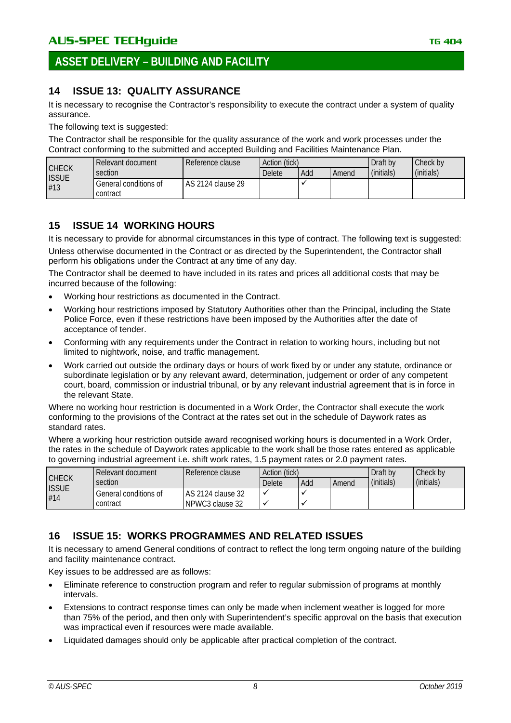# **ASSET DELIVERY – BUILDING AND FACILITY**

#### <span id="page-7-0"></span>**14 ISSUE 13: QUALITY ASSURANCE**

It is necessary to recognise the Contractor's responsibility to execute the contract under a system of quality assurance.

The following text is suggested:

The Contractor shall be responsible for the quality assurance of the work and work processes under the Contract conforming to the submitted and accepted Building and Facilities Maintenance Plan.

| <b>CHECK</b><br><b>ISSUE</b> | Relevant document                 | Reference clause  | Action (tick) |     |       | Draft by   | Check by   |
|------------------------------|-----------------------------------|-------------------|---------------|-----|-------|------------|------------|
|                              | section                           |                   | <b>Delete</b> | Add | Amend | (initials) | (initials) |
| #13                          | General conditions of<br>contract | AS 2124 clause 29 |               |     |       |            |            |

#### <span id="page-7-1"></span>**15 ISSUE 14 WORKING HOURS**

It is necessary to provide for abnormal circumstances in this type of contract. The following text is suggested: Unless otherwise documented in the Contract or as directed by the Superintendent, the Contractor shall perform his obligations under the Contract at any time of any day.

The Contractor shall be deemed to have included in its rates and prices all additional costs that may be incurred because of the following:

- Working hour restrictions as documented in the Contract.
- Working hour restrictions imposed by Statutory Authorities other than the Principal, including the State Police Force, even if these restrictions have been imposed by the Authorities after the date of acceptance of tender.
- Conforming with any requirements under the Contract in relation to working hours, including but not limited to nightwork, noise, and traffic management.
- Work carried out outside the ordinary days or hours of work fixed by or under any statute, ordinance or subordinate legislation or by any relevant award, determination, judgement or order of any competent court, board, commission or industrial tribunal, or by any relevant industrial agreement that is in force in the relevant State.

Where no working hour restriction is documented in a Work Order, the Contractor shall execute the work conforming to the provisions of the Contract at the rates set out in the schedule of Daywork rates as standard rates.

Where a working hour restriction outside award recognised working hours is documented in a Work Order, the rates in the schedule of Daywork rates applicable to the work shall be those rates entered as applicable to governing industrial agreement i.e. shift work rates, 1.5 payment rates or 2.0 payment rates.

|                                     | Relevant document     | Reference clause    |        | Action (tick)<br>Draft by |       |            | Check by   |
|-------------------------------------|-----------------------|---------------------|--------|---------------------------|-------|------------|------------|
| <b>CHECK</b><br><b>ISSUE</b><br>#14 | section               |                     | Delete | Add                       | Amend | (initials) | (initials) |
|                                     | General conditions of | I AS 2124 clause 32 |        |                           |       |            |            |
|                                     | contract              | NPWC3 clause 32     |        |                           |       |            |            |

#### <span id="page-7-2"></span>**16 ISSUE 15: WORKS PROGRAMMES AND RELATED ISSUES**

It is necessary to amend General conditions of contract to reflect the long term ongoing nature of the building and facility maintenance contract.

Key issues to be addressed are as follows:

- Eliminate reference to construction program and refer to regular submission of programs at monthly intervals.
- Extensions to contract response times can only be made when inclement weather is logged for more than 75% of the period, and then only with Superintendent's specific approval on the basis that execution was impractical even if resources were made available.
- Liquidated damages should only be applicable after practical completion of the contract.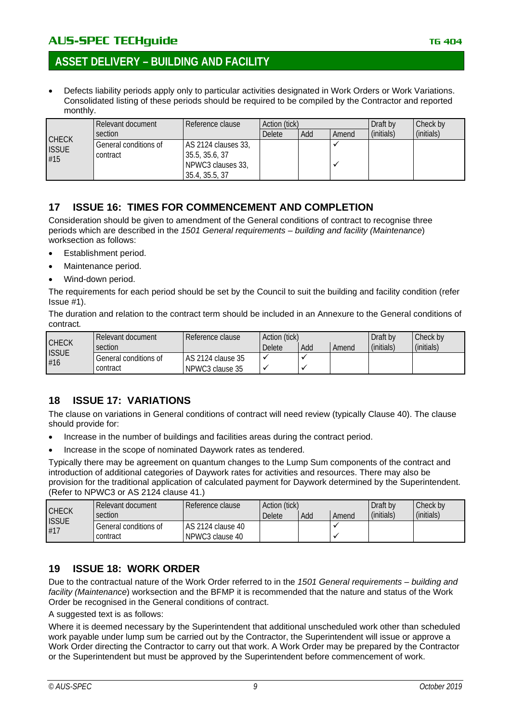## **ASSET DELIVERY – BUILDING AND FACILITY**

• Defects liability periods apply only to particular activities designated in Work Orders or Work Variations. Consolidated listing of these periods should be required to be compiled by the Contractor and reported monthly.

|                                     | Relevant document                 | Reference clause                                                             | Action (tick) |     |       | Draft by   | Check by   |
|-------------------------------------|-----------------------------------|------------------------------------------------------------------------------|---------------|-----|-------|------------|------------|
|                                     | section                           |                                                                              | <b>Delete</b> | Add | Amend | (initials) | (initials) |
| <b>CHECK</b><br><b>ISSUE</b><br>#15 | General conditions of<br>contract | AS 2124 clauses 33,<br>35.5, 35.6, 37<br>NPWC3 clauses 33,<br>35.4, 35.5, 37 |               |     |       |            |            |

#### <span id="page-8-0"></span>**17 ISSUE 16: TIMES FOR COMMENCEMENT AND COMPLETION**

Consideration should be given to amendment of the General conditions of contract to recognise three periods which are described in the *1501 General requirements – building and facility (Maintenance*) worksection as follows:

- Establishment period.
- Maintenance period.
- Wind-down period.

The requirements for each period should be set by the Council to suit the building and facility condition (refer Issue #1).

The duration and relation to the contract term should be included in an Annexure to the General conditions of contract*.*

| <b>CHECK</b><br><b>ISSUE</b><br>#16 | Relevant document     | Reference clause  | Action (tick) |     |       | Draft by   | Check by   |
|-------------------------------------|-----------------------|-------------------|---------------|-----|-------|------------|------------|
|                                     | section               |                   | <b>Delete</b> | Add | Amend | (initials) | (initials) |
|                                     | General conditions of | AS 2124 clause 35 |               |     |       |            |            |
|                                     | contract              | NPWC3 clause 35   |               |     |       |            |            |

#### <span id="page-8-1"></span>**18 ISSUE 17: VARIATIONS**

The clause on variations in General conditions of contract will need review (typically Clause 40). The clause should provide for:

- Increase in the number of buildings and facilities areas during the contract period.
- Increase in the scope of nominated Daywork rates as tendered.

Typically there may be agreement on quantum changes to the Lump Sum components of the contract and introduction of additional categories of Daywork rates for activities and resources. There may also be provision for the traditional application of calculated payment for Daywork determined by the Superintendent. (Refer to NPWC3 or AS 2124 clause 41.)

| <b>CHECK</b><br><b>ISSUE</b><br>#17 | Relevant document     | Reference clause  |               | Action (tick)<br>Draft by |       |            | Check by   |
|-------------------------------------|-----------------------|-------------------|---------------|---------------------------|-------|------------|------------|
|                                     | section               |                   | <b>Delete</b> | Add                       | Amend | (initials) | (initials) |
|                                     | General conditions of | AS 2124 clause 40 |               |                           |       |            |            |
|                                     | contract              | NPWC3 clause 40   |               |                           |       |            |            |

#### <span id="page-8-2"></span>**19 ISSUE 18: WORK ORDER**

Due to the contractual nature of the Work Order referred to in the *1501 General requirements – building and facility (Maintenance*) worksection and the BFMP it is recommended that the nature and status of the Work Order be recognised in the General conditions of contract.

A suggested text is as follows:

Where it is deemed necessary by the Superintendent that additional unscheduled work other than scheduled work payable under lump sum be carried out by the Contractor, the Superintendent will issue or approve a Work Order directing the Contractor to carry out that work. A Work Order may be prepared by the Contractor or the Superintendent but must be approved by the Superintendent before commencement of work.